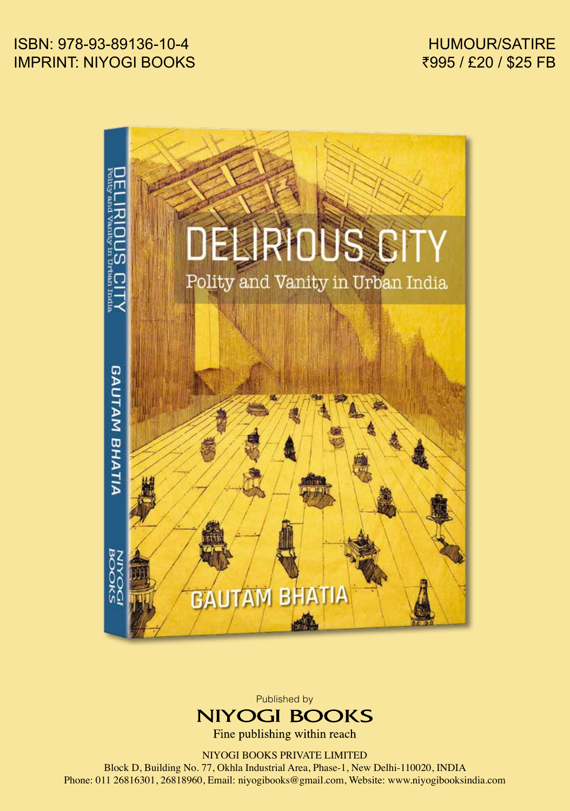HUMOUR/SATIRE ₹995 / £20 / \$25 FB

## ISBN: 978-93-89136-10-4 IMPRINT: NIYOGI BOOKS





Fine publishing within reach

NIYOGI BOOKS PRIVATE LIMITED

Block D, Building No. 77, Okhla Industrial Area, Phase-1, New Delhi-110020, INDIA Phone: 011 26816301, 26818960, Email: niyogibooks@gmail.com, Website: www.niyogibooksindia.com